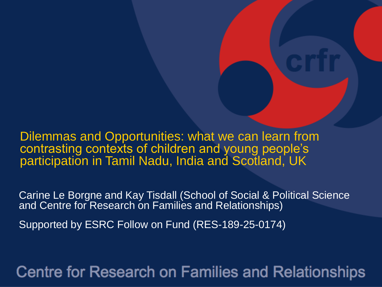Dilemmas and Opportunities: what we can learn from contrasting contexts of children and young people's participation in Tamil Nadu, India and Scotland, UK

Carine Le Borgne and Kay Tisdall (School of Social & Political Science and Centre for Research on Families and Relationships)

Supported by ESRC Follow on Fund (RES-189-25-0174)

**Centre for Research on Families and Relationships**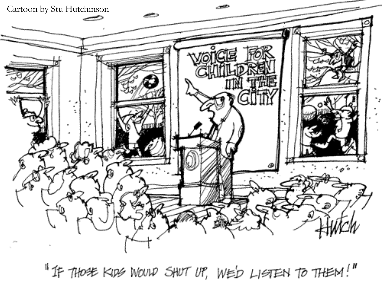

"If those Kips Would SHUT UP, WED LISTEN TO THEM!"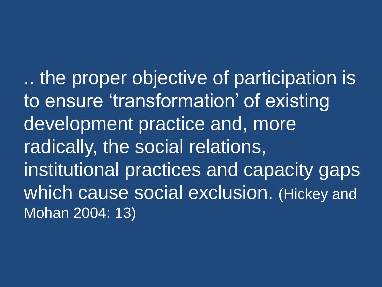.. the proper objective of participation is to ensure 'transformation' of existing development practice and, more radically, the social relations, institutional practices and capacity gaps which cause social exclusion. (Hickey and Mohan 2004: 13)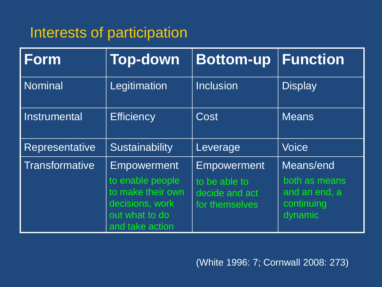## Interests of participation

| <b>Form</b>           | <b>Top-down</b>                                                                                                     | <b>Bottom-up</b>                                                        | <b>Function</b>                                                      |
|-----------------------|---------------------------------------------------------------------------------------------------------------------|-------------------------------------------------------------------------|----------------------------------------------------------------------|
| <b>Nominal</b>        | Legitimation                                                                                                        | <b>Inclusion</b>                                                        | <b>Display</b>                                                       |
| <b>Instrumental</b>   | <b>Efficiency</b>                                                                                                   | Cost                                                                    | <b>Means</b>                                                         |
| <b>Representative</b> | Sustainability                                                                                                      | Leverage                                                                | <b>Voice</b>                                                         |
| <b>Transformative</b> | <b>Empowerment</b><br>to enable people<br>to make their own<br>decisions, work<br>out what to do<br>and take action | <b>Empowerment</b><br>to be able to<br>decide and act<br>for themselves | Means/end<br>both as means<br>and an end, a<br>continuing<br>dynamic |

(White 1996: 7; Cornwall 2008: 273)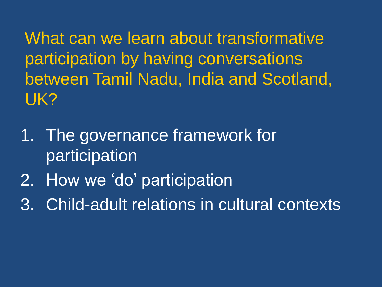What can we learn about transformative participation by having conversations between Tamil Nadu, India and Scotland, UK?

- 1. The governance framework for participation
- 2. How we 'do' participation
- 3. Child-adult relations in cultural contexts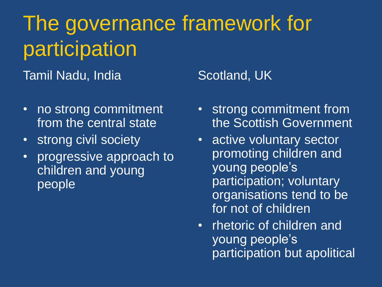# The governance framework for participation

Tamil Nadu, India

- no strong commitment from the central state
- strong civil society
- progressive approach to children and young people

Scotland, UK

- strong commitment from the Scottish Government
- active voluntary sector promoting children and young people's participation; voluntary organisations tend to be for not of children
- rhetoric of children and young people's participation but apolitical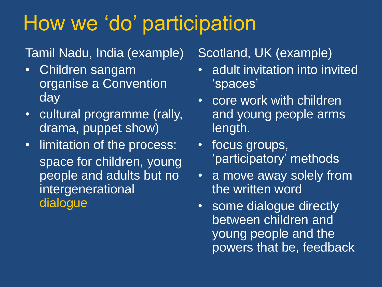# How we 'do' participation

### Tamil Nadu, India (example)

- Children sangam organise a Convention day
- cultural programme (rally, drama, puppet show)
- limitation of the process: space for children, young people and adults but no intergenerational dialogue

### Scotland, UK (example)

- adult invitation into invited 'spaces'
- core work with children and young people arms length.
- focus groups, 'participatory' methods
- a move away solely from the written word
- some dialogue directly between children and young people and the powers that be, feedback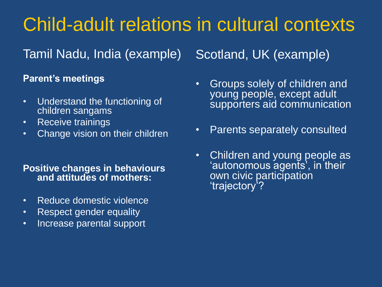## Child-adult relations in cultural contexts

Tamil Nadu, India (example)

## Scotland, UK (example)

#### **Parent's meetings**

- Understand the functioning of children sangams
- Receive trainings
- Change vision on their children

#### **Positive changes in behaviours and attitudes of mothers:**

- Reduce domestic violence
- Respect gender equality
- Increase parental support
- Groups solely of children and young people, except adult supporters aid communication
- Parents separately consulted
- Children and young people as 'autonomous agents', in their own civic participation 'trajectory'?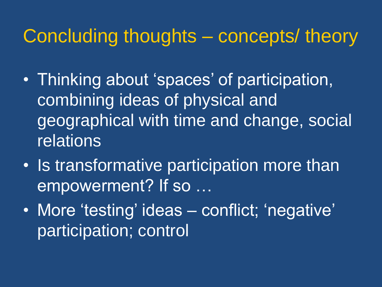## Concluding thoughts – concepts/ theory

- Thinking about 'spaces' of participation, combining ideas of physical and geographical with time and change, social relations
- Is transformative participation more than empowerment? If so …
- More 'testing' ideas conflict; 'negative', participation; control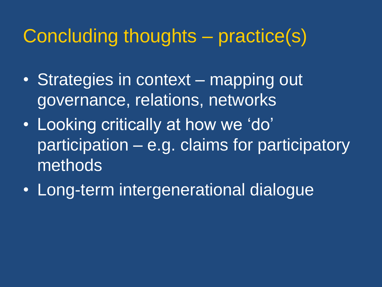## Concluding thoughts – practice(s)

- Strategies in context mapping out governance, relations, networks
- Looking critically at how we 'do' participation – e.g. claims for participatory methods
- Long-term intergenerational dialogue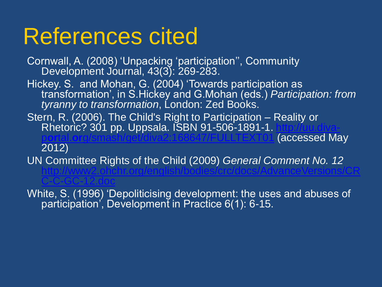# References cited

Cornwall, A. (2008) 'Unpacking 'participation'', Community Development Journal, 43(3): 269-283. Hickey. S. and Mohan, G. (2004) 'Towards participation as transformation', in S.Hickey and G.Mohan (eds.) *Participation: from tyranny to transformation*, London: Zed Books. Stern, R. (2006). The Child's Right to Participation – Reality or Rhetoric? 301 pp. Uppsala. ISBN 91-506-1891-1. [http://uu.diva-](http://uu.diva-portal.org/smash/get/diva2:168647/FULLTEXT01)**Accessed May** 

2012)

[C-C-GC-12.doc](http://www2.ohchr.org/english/bodies/crc/docs/AdvanceVersions/CRC-C-GC-12.doc)

UN Committee Rights of the Child (2009) *General Comment No. 12* [http://www2.ohchr.org/english/bodies/crc/docs/AdvanceVersions/CR](http://www2.ohchr.org/english/bodies/crc/docs/AdvanceVersions/CRC-C-GC-12.doc)

White, S. (1996) 'Depoliticising development: the uses and abuses of participation', Development in Practice 6(1): 6-15.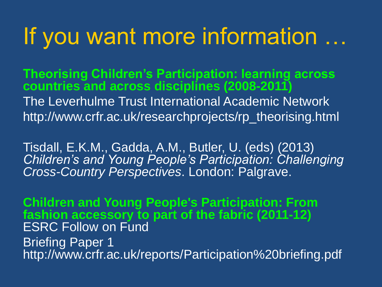# If you want more information …

**Theorising Children's Participation: learning across countries and across disciplines (2008-2011)** The Leverhulme Trust International Academic Network http://www.crfr.ac.uk/researchprojects/rp\_theorising.html

Tisdall, E.K.M., Gadda, A.M., Butler, U. (eds) (2013) *Children's and Young People's Participation: Challenging Cross-Country Perspectives*. London: Palgrave.

**Children and Young People's Participation: From fashion accessory to part of the fabric (2011-12)** ESRC Follow on Fund **Briefing Paper 1** http://www.crfr.ac.uk/reports/Participation%20briefing.pdf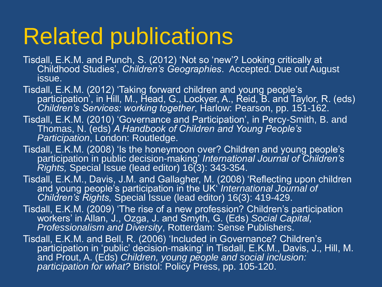# Related publications

- Tisdall, E.K.M. and Punch, S. (2012) 'Not so 'new'? Looking critically at Childhood Studies', *Children's Geographies*. Accepted. Due out August issue.
- Tisdall, E.K.M. (2012) 'Taking forward children and young people's participation<sup>'</sup>, in Hill, M., Head, G., Lockyer, A., Reid, B. and Taylor, R. (eds) *Children's Services: working together*, Harlow: Pearson, pp. 151-162.
- Tisdall, E.K.M. (2010) 'Governance and Participation', in Percy-Smith, B. and Thomas, N. (eds) *A Handbook of Children and Young People's Participation*, London: Routledge.
- Tisdall, E.K.M. (2008) 'Is the honeymoon over? Children and young people's participation in public decision-making' *International Journal of Children's Rights,* Special Issue (lead editor) 16(3): 343-354.
- Tisdall, E.K.M., Davis, J.M. and Gallagher, M. (2008) 'Reflecting upon children and young people's participation in the UK' *International Journal of Children's Rights,* Special Issue (lead editor) 16(3): 419-429.
- Tisdall, E.K.M. (2009) 'The rise of a new profession? Children's participation workers' in Allan, J., Ozga, J. and Smyth, G. (Eds) *Social Capital, Professionalism and Diversity*, Rotterdam: Sense Publishers.
- Tisdall, E.K.M. and Bell, R. (2006) 'Included in Governance? Children's participation in 'public' decision-making' in Tisdall, E.K.M., Davis, J., Hill, M. and Prout, A. (Eds) *Children, young people and social inclusion: participation for what?* Bristol: Policy Press, pp. 105-120.